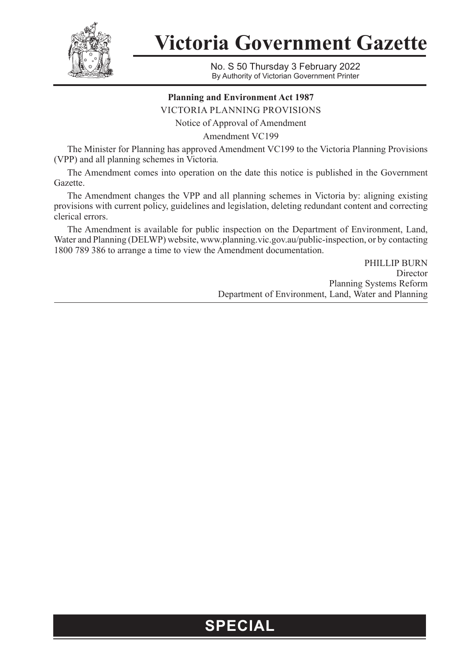

**Victoria Government Gazette**

No. S 50 Thursday 3 February 2022 By Authority of Victorian Government Printer

## **Planning and Environment Act 1987**

VICTORIA PLANNING PROVISIONS

Notice of Approval of Amendment

Amendment VC199

The Minister for Planning has approved Amendment VC199 to the Victoria Planning Provisions (VPP) and all planning schemes in Victoria*.*

The Amendment comes into operation on the date this notice is published in the Government Gazette.

The Amendment changes the VPP and all planning schemes in Victoria by: aligning existing provisions with current policy, guidelines and legislation, deleting redundant content and correcting clerical errors.

The Amendment is available for public inspection on the Department of Environment, Land, Water and Planning (DELWP) website, www.planning.vic.gov.au/public-inspection, or by contacting 1800 789 386 to arrange a time to view the Amendment documentation.

> PHILLIP BURN Director Planning Systems Reform Department of Environment, Land, Water and Planning

## **SPECIAL**